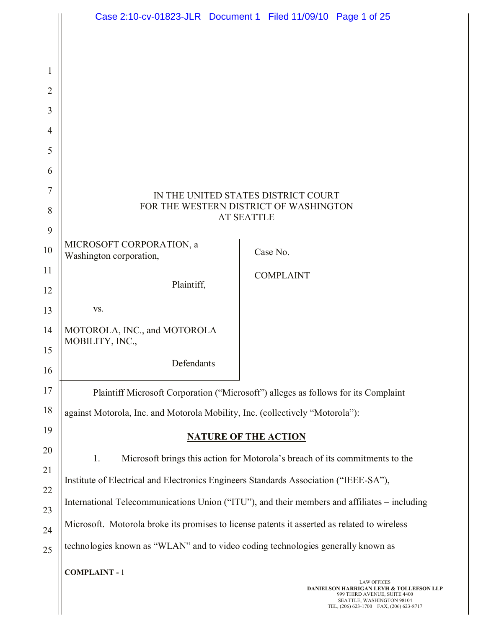|                |                                                                                                    | Case 2:10-cv-01823-JLR Document 1 Filed 11/09/10 Page 1 of 25                                                                                              |  |
|----------------|----------------------------------------------------------------------------------------------------|------------------------------------------------------------------------------------------------------------------------------------------------------------|--|
|                |                                                                                                    |                                                                                                                                                            |  |
| 1              |                                                                                                    |                                                                                                                                                            |  |
| $\overline{2}$ |                                                                                                    |                                                                                                                                                            |  |
| 3              |                                                                                                    |                                                                                                                                                            |  |
| 4              |                                                                                                    |                                                                                                                                                            |  |
| 5              |                                                                                                    |                                                                                                                                                            |  |
| 6              |                                                                                                    |                                                                                                                                                            |  |
| 7              |                                                                                                    |                                                                                                                                                            |  |
| 8              | IN THE UNITED STATES DISTRICT COURT<br>FOR THE WESTERN DISTRICT OF WASHINGTON<br><b>AT SEATTLE</b> |                                                                                                                                                            |  |
| 9              |                                                                                                    |                                                                                                                                                            |  |
| 10             | MICROSOFT CORPORATION, a<br>Washington corporation,                                                | Case No.                                                                                                                                                   |  |
| 11             |                                                                                                    | <b>COMPLAINT</b>                                                                                                                                           |  |
| 12             | Plaintiff,                                                                                         |                                                                                                                                                            |  |
| 13             | VS.                                                                                                |                                                                                                                                                            |  |
| 14             | MOTOROLA, INC., and MOTOROLA<br>MOBILITY, INC.,                                                    |                                                                                                                                                            |  |
| 15             |                                                                                                    |                                                                                                                                                            |  |
| 16             | Defendants                                                                                         |                                                                                                                                                            |  |
| 17             | Plaintiff Microsoft Corporation ("Microsoft") alleges as follows for its Complaint                 |                                                                                                                                                            |  |
| 18             | against Motorola, Inc. and Motorola Mobility, Inc. (collectively "Motorola"):                      |                                                                                                                                                            |  |
| 19             | <b>NATURE OF THE ACTION</b>                                                                        |                                                                                                                                                            |  |
| 20             | 1.                                                                                                 | Microsoft brings this action for Motorola's breach of its commitments to the                                                                               |  |
| 21             | Institute of Electrical and Electronics Engineers Standards Association ("IEEE-SA"),               |                                                                                                                                                            |  |
| 22             | International Telecommunications Union ("ITU"), and their members and affiliates – including       |                                                                                                                                                            |  |
| 23             | Microsoft. Motorola broke its promises to license patents it asserted as related to wireless       |                                                                                                                                                            |  |
| 24             |                                                                                                    |                                                                                                                                                            |  |
| 25             | technologies known as "WLAN" and to video coding technologies generally known as                   |                                                                                                                                                            |  |
|                | <b>COMPLAINT - 1</b>                                                                               | <b>LAW OFFICES</b>                                                                                                                                         |  |
|                |                                                                                                    | <b>DANIELSON HARRIGAN LEYH &amp; TOLLEFSON LLP</b><br>999 THIRD AVENUE, SUITE 4400<br>SEATTLE, WASHINGTON 98104<br>TEL, (206) 623-1700 FAX, (206) 623-8717 |  |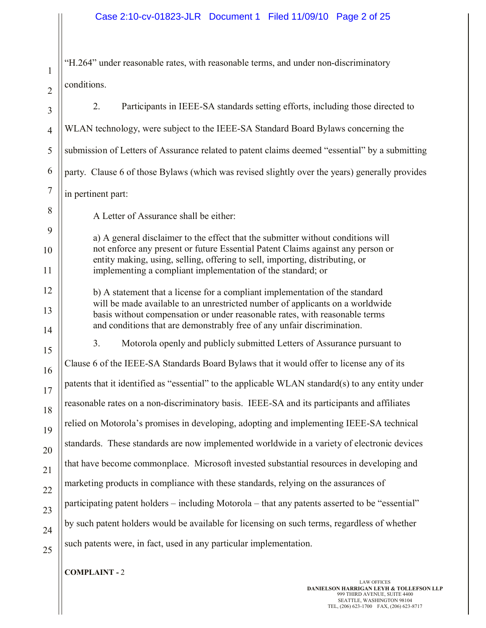"H.264" under reasonable rates, with reasonable terms, and under non-discriminatory conditions.

3 4 5 6 7 8 9 10 11 12 13 14 15 16 17 18 19 20 21 22 23 24 25 2. Participants in IEEE-SA standards setting efforts, including those directed to WLAN technology, were subject to the IEEE-SA Standard Board Bylaws concerning the submission of Letters of Assurance related to patent claims deemed "essential" by a submitting party. Clause 6 of those Bylaws (which was revised slightly over the years) generally provides in pertinent part: A Letter of Assurance shall be either: a) A general disclaimer to the effect that the submitter without conditions will not enforce any present or future Essential Patent Claims against any person or entity making, using, selling, offering to sell, importing, distributing, or implementing a compliant implementation of the standard; or b) A statement that a license for a compliant implementation of the standard will be made available to an unrestricted number of applicants on a worldwide basis without compensation or under reasonable rates, with reasonable terms and conditions that are demonstrably free of any unfair discrimination. 3. Motorola openly and publicly submitted Letters of Assurance pursuant to Clause 6 of the IEEE-SA Standards Board Bylaws that it would offer to license any of its patents that it identified as "essential" to the applicable WLAN standard(s) to any entity under reasonable rates on a non-discriminatory basis. IEEE-SA and its participants and affiliates relied on Motorola's promises in developing, adopting and implementing IEEE-SA technical standards. These standards are now implemented worldwide in a variety of electronic devices that have become commonplace. Microsoft invested substantial resources in developing and marketing products in compliance with these standards, relying on the assurances of participating patent holders – including Motorola – that any patents asserted to be "essential" by such patent holders would be available for licensing on such terms, regardless of whether such patents were, in fact, used in any particular implementation.

## **COMPLAINT -** 2

1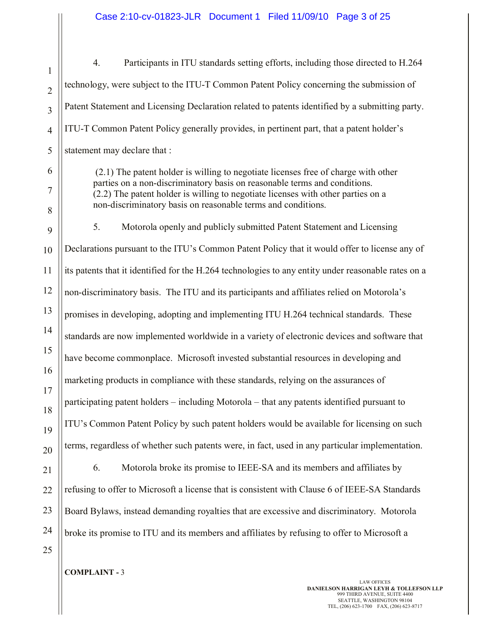1 2 3 4 5 6 7 8 9 10 11 12 13 14 15 16 17 18 19 20 21 22 23 24 25 4. Participants in ITU standards setting efforts, including those directed to H.264 technology, were subject to the ITU-T Common Patent Policy concerning the submission of Patent Statement and Licensing Declaration related to patents identified by a submitting party. ITU-T Common Patent Policy generally provides, in pertinent part, that a patent holder's statement may declare that : (2.1) The patent holder is willing to negotiate licenses free of charge with other parties on a non-discriminatory basis on reasonable terms and conditions. (2.2) The patent holder is willing to negotiate licenses with other parties on a non-discriminatory basis on reasonable terms and conditions. 5. Motorola openly and publicly submitted Patent Statement and Licensing Declarations pursuant to the ITU's Common Patent Policy that it would offer to license any of its patents that it identified for the H.264 technologies to any entity under reasonable rates on a non-discriminatory basis. The ITU and its participants and affiliates relied on Motorola's promises in developing, adopting and implementing ITU H.264 technical standards. These standards are now implemented worldwide in a variety of electronic devices and software that have become commonplace. Microsoft invested substantial resources in developing and marketing products in compliance with these standards, relying on the assurances of participating patent holders – including Motorola – that any patents identified pursuant to ITU's Common Patent Policy by such patent holders would be available for licensing on such terms, regardless of whether such patents were, in fact, used in any particular implementation. 6. Motorola broke its promise to IEEE-SA and its members and affiliates by refusing to offer to Microsoft a license that is consistent with Clause 6 of IEEE-SA Standards Board Bylaws, instead demanding royalties that are excessive and discriminatory. Motorola broke its promise to ITU and its members and affiliates by refusing to offer to Microsoft a

**COMPLAINT -** 3

LAW OFFICES **DANIELSON HARRIGAN LEYH & TOLLEFSON LLP** 999 THIRD AVENUE, SUITE 4400 SEATTLE, WASHINGTON 98104 TEL, (206) 623-1700 FAX, (206) 623-8717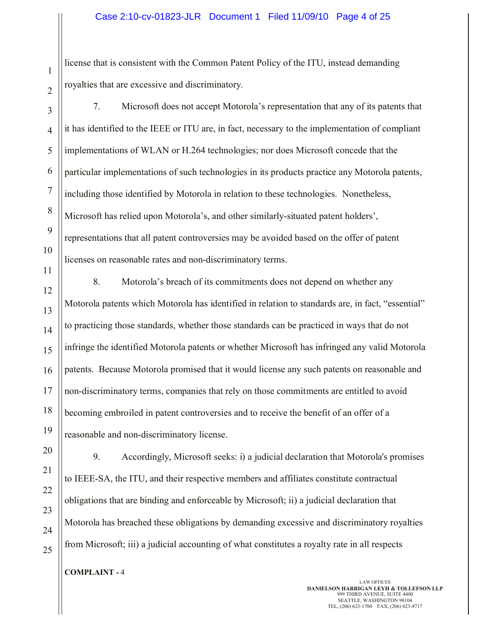#### Case 2:10-cv-01823-JLR Document 1 Filed 11/09/10 Page 4 of 25

license that is consistent with the Common Patent Policy of the ITU, instead demanding royalties that are excessive and discriminatory.

2 3 4

5

6

7

8

9

10

11

1

7. Microsoft does not accept Motorola's representation that any of its patents that it has identified to the IEEE or ITU are, in fact, necessary to the implementation of compliant implementations of WLAN or H.264 technologies; nor does Microsoft concede that the particular implementations of such technologies in its products practice any Motorola patents, including those identified by Motorola in relation to these technologies. Nonetheless, Microsoft has relied upon Motorola's, and other similarly-situated patent holders', representations that all patent controversies may be avoided based on the offer of patent licenses on reasonable rates and non-discriminatory terms.

25

8. Motorola's breach of its commitments does not depend on whether any Motorola patents which Motorola has identified in relation to standards are, in fact, "essential" to practicing those standards, whether those standards can be practiced in ways that do not infringe the identified Motorola patents or whether Microsoft has infringed any valid Motorola patents. Because Motorola promised that it would license any such patents on reasonable and non-discriminatory terms, companies that rely on those commitments are entitled to avoid becoming embroiled in patent controversies and to receive the benefit of an offer of a reasonable and non-discriminatory license.

9. Accordingly, Microsoft seeks: i) a judicial declaration that Motorola's promises to IEEE-SA, the ITU, and their respective members and affiliates constitute contractual obligations that are binding and enforceable by Microsoft; ii) a judicial declaration that Motorola has breached these obligations by demanding excessive and discriminatory royalties from Microsoft; iii) a judicial accounting of what constitutes a royalty rate in all respects

**COMPLAINT -** 4

LAW OFFICES **DANIELSON HARRIGAN LEYH & TOLLEFSON LLP** 999 THIRD AVENUE, SUITE 4400 SEATTLE, WASHINGTON 98104 TEL, (206) 623-1700 FAX, (206) 623-8717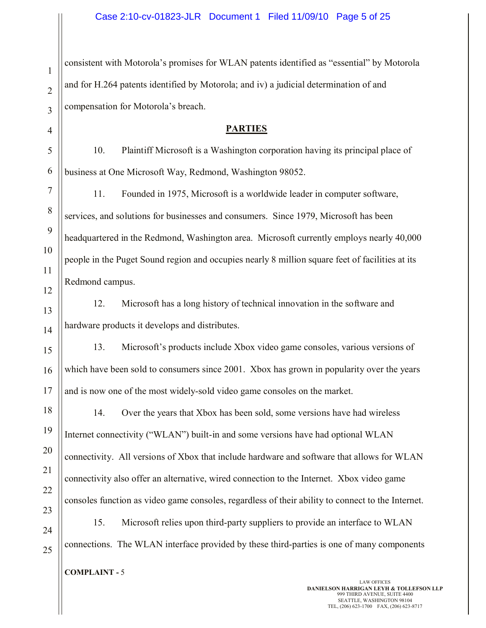consistent with Motorola's promises for WLAN patents identified as "essential" by Motorola and for H.264 patents identified by Motorola; and iv) a judicial determination of and compensation for Motorola's breach.

# **PARTIES**

10. Plaintiff Microsoft is a Washington corporation having its principal place of business at One Microsoft Way, Redmond, Washington 98052.

11. Founded in 1975, Microsoft is a worldwide leader in computer software, services, and solutions for businesses and consumers. Since 1979, Microsoft has been headquartered in the Redmond, Washington area. Microsoft currently employs nearly 40,000 people in the Puget Sound region and occupies nearly 8 million square feet of facilities at its Redmond campus.

12. Microsoft has a long history of technical innovation in the software and hardware products it develops and distributes.

13. Microsoft's products include Xbox video game consoles, various versions of which have been sold to consumers since 2001. Xbox has grown in popularity over the years and is now one of the most widely-sold video game consoles on the market.

14. Over the years that Xbox has been sold, some versions have had wireless Internet connectivity ("WLAN") built-in and some versions have had optional WLAN connectivity. All versions of Xbox that include hardware and software that allows for WLAN connectivity also offer an alternative, wired connection to the Internet. Xbox video game consoles function as video game consoles, regardless of their ability to connect to the Internet.

15. Microsoft relies upon third-party suppliers to provide an interface to WLAN connections. The WLAN interface provided by these third-parties is one of many components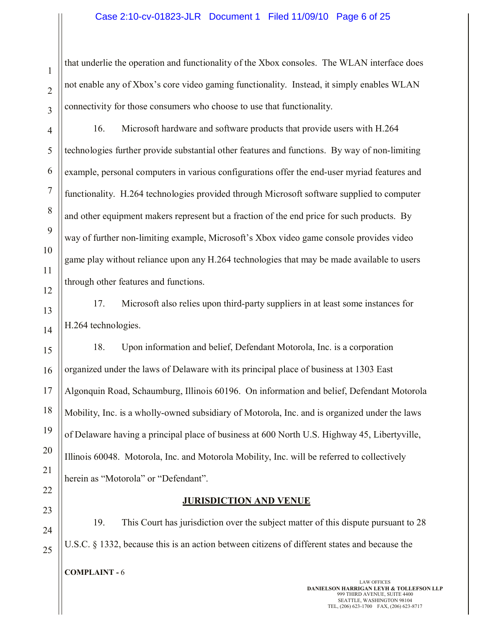#### Case 2:10-cv-01823-JLR Document 1 Filed 11/09/10 Page 6 of 25

that underlie the operation and functionality of the Xbox consoles. The WLAN interface does not enable any of Xbox's core video gaming functionality. Instead, it simply enables WLAN connectivity for those consumers who choose to use that functionality.

16. Microsoft hardware and software products that provide users with H.264 technologies further provide substantial other features and functions. By way of non-limiting example, personal computers in various configurations offer the end-user myriad features and functionality. H.264 technologies provided through Microsoft software supplied to computer and other equipment makers represent but a fraction of the end price for such products. By way of further non-limiting example, Microsoft's Xbox video game console provides video game play without reliance upon any H.264 technologies that may be made available to users through other features and functions.

17. Microsoft also relies upon third-party suppliers in at least some instances for H.264 technologies.

18. Upon information and belief, Defendant Motorola, Inc. is a corporation organized under the laws of Delaware with its principal place of business at 1303 East Algonquin Road, Schaumburg, Illinois 60196. On information and belief, Defendant Motorola Mobility, Inc. is a wholly-owned subsidiary of Motorola, Inc. and is organized under the laws of Delaware having a principal place of business at 600 North U.S. Highway 45, Libertyville, Illinois 60048. Motorola, Inc. and Motorola Mobility, Inc. will be referred to collectively herein as "Motorola" or "Defendant".

#### **JURISDICTION AND VENUE**

19. This Court has jurisdiction over the subject matter of this dispute pursuant to 28 U.S.C. § 1332, because this is an action between citizens of different states and because the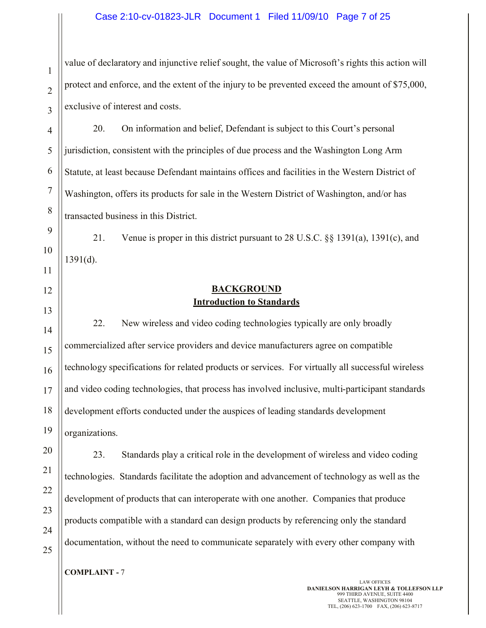#### Case 2:10-cv-01823-JLR Document 1 Filed 11/09/10 Page 7 of 25

value of declaratory and injunctive relief sought, the value of Microsoft's rights this action will protect and enforce, and the extent of the injury to be prevented exceed the amount of \$75,000, exclusive of interest and costs.

20. On information and belief, Defendant is subject to this Court's personal jurisdiction, consistent with the principles of due process and the Washington Long Arm Statute, at least because Defendant maintains offices and facilities in the Western District of Washington, offers its products for sale in the Western District of Washington, and/or has transacted business in this District.

21. Venue is proper in this district pursuant to 28 U.S.C. §§ 1391(a), 1391(c), and 1391(d).

# 12

1

2

3

4

5

6

7

8

9

10

11

# 13

20

21

22

23

24

25

## **BACKGROUND Introduction to Standards**

14 15 16 17 18 19 22. New wireless and video coding technologies typically are only broadly commercialized after service providers and device manufacturers agree on compatible technology specifications for related products or services. For virtually all successful wireless and video coding technologies, that process has involved inclusive, multi-participant standards development efforts conducted under the auspices of leading standards development organizations.

23. Standards play a critical role in the development of wireless and video coding technologies. Standards facilitate the adoption and advancement of technology as well as the development of products that can interoperate with one another. Companies that produce products compatible with a standard can design products by referencing only the standard documentation, without the need to communicate separately with every other company with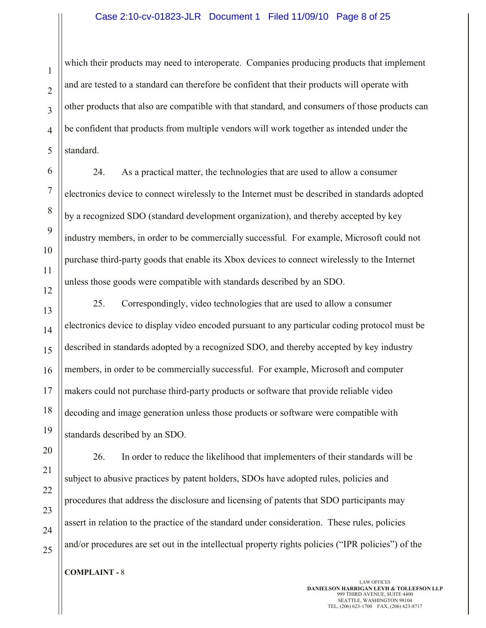#### Case 2:10-cv-01823-JLR Document 1 Filed 11/09/10 Page 8 of 25

which their products may need to interoperate. Companies producing products that implement and are tested to a standard can therefore be confident that their products will operate with other products that also are compatible with that standard, and consumers of those products can be confident that products from multiple vendors will work together as intended under the standard.

24. As a practical matter, the technologies that are used to allow a consumer electronics device to connect wirelessly to the Internet must be described in standards adopted by a recognized SDO (standard development organization), and thereby accepted by key industry members, in order to be commercially successful. For example, Microsoft could not purchase third-party goods that enable its Xbox devices to connect wirelessly to the Internet unless those goods were compatible with standards described by an SDO.

25. Correspondingly, video technologies that are used to allow a consumer electronics device to display video encoded pursuant to any particular coding protocol must be described in standards adopted by a recognized SDO, and thereby accepted by key industry members, in order to be commercially successful. For example, Microsoft and computer makers could not purchase third-party products or software that provide reliable video decoding and image generation unless those products or software were compatible with standards described by an SDO.

26. In order to reduce the likelihood that implementers of their standards will be subject to abusive practices by patent holders, SDOs have adopted rules, policies and procedures that address the disclosure and licensing of patents that SDO participants may assert in relation to the practice of the standard under consideration. These rules, policies and/or procedures are set out in the intellectual property rights policies ("IPR policies") of the

**COMPLAINT -** 8

LAW OFFICES **DANIELSON HARRIGAN LEYH & TOLLEFSON LLP** 999 THIRD AVENUE, SUITE 4400 SEATTLE, WASHINGTON 98104 TEL, (206) 623-1700 FAX, (206) 623-8717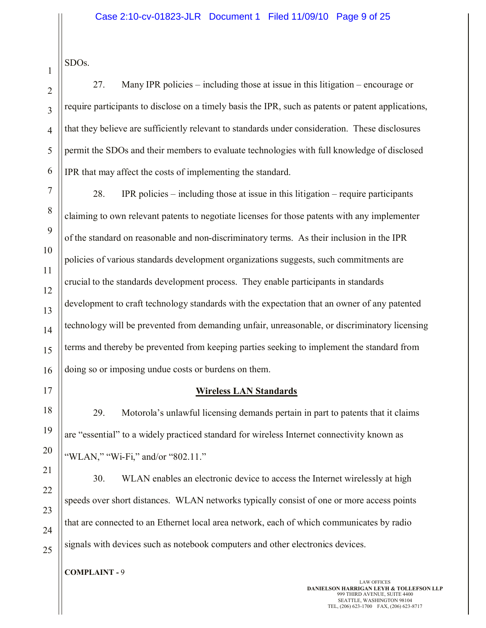SDOs.

1

27. Many IPR policies – including those at issue in this litigation – encourage or require participants to disclose on a timely basis the IPR, such as patents or patent applications, that they believe are sufficiently relevant to standards under consideration. These disclosures permit the SDOs and their members to evaluate technologies with full knowledge of disclosed IPR that may affect the costs of implementing the standard.

28. IPR policies – including those at issue in this litigation – require participants claiming to own relevant patents to negotiate licenses for those patents with any implementer of the standard on reasonable and non-discriminatory terms. As their inclusion in the IPR policies of various standards development organizations suggests, such commitments are crucial to the standards development process. They enable participants in standards development to craft technology standards with the expectation that an owner of any patented technology will be prevented from demanding unfair, unreasonable, or discriminatory licensing terms and thereby be prevented from keeping parties seeking to implement the standard from doing so or imposing undue costs or burdens on them.

# **Wireless LAN Standards**

29. Motorola's unlawful licensing demands pertain in part to patents that it claims are "essential" to a widely practiced standard for wireless Internet connectivity known as "WLAN," "Wi-Fi," and/or "802.11."

30. WLAN enables an electronic device to access the Internet wirelessly at high speeds over short distances. WLAN networks typically consist of one or more access points that are connected to an Ethernet local area network, each of which communicates by radio signals with devices such as notebook computers and other electronics devices.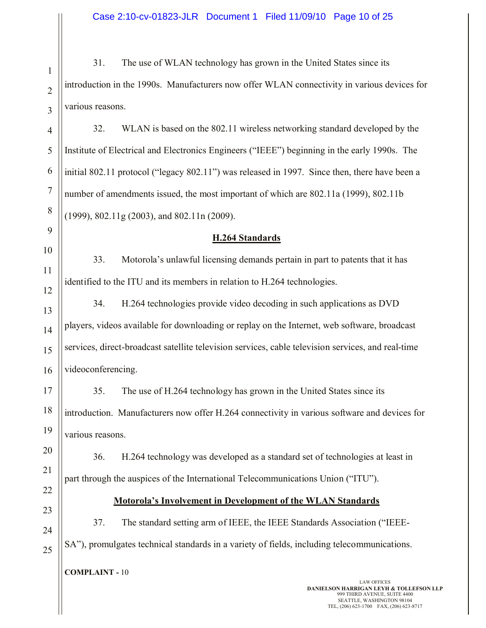31. The use of WLAN technology has grown in the United States since its introduction in the 1990s. Manufacturers now offer WLAN connectivity in various devices for various reasons.

4 6 32. WLAN is based on the 802.11 wireless networking standard developed by the Institute of Electrical and Electronics Engineers ("IEEE") beginning in the early 1990s. The initial 802.11 protocol ("legacy 802.11") was released in 1997. Since then, there have been a number of amendments issued, the most important of which are 802.11a (1999), 802.11b (1999), 802.11g (2003), and 802.11n (2009).

# **H.264 Standards**

33. Motorola's unlawful licensing demands pertain in part to patents that it has identified to the ITU and its members in relation to H.264 technologies.

13 14 15 16 34. H.264 technologies provide video decoding in such applications as DVD players, videos available for downloading or replay on the Internet, web software, broadcast services, direct-broadcast satellite television services, cable television services, and real-time videoconferencing.

35. The use of H.264 technology has grown in the United States since its introduction. Manufacturers now offer H.264 connectivity in various software and devices for various reasons.

36. H.264 technology was developed as a standard set of technologies at least in part through the auspices of the International Telecommunications Union ("ITU").

22 23

24

25

1

2

3

5

7

8

9

10

11

12

17

18

19

20

21

# **Motorola's Involvement in Development of the WLAN Standards**

37. The standard setting arm of IEEE, the IEEE Standards Association ("IEEE-SA"), promulgates technical standards in a variety of fields, including telecommunications.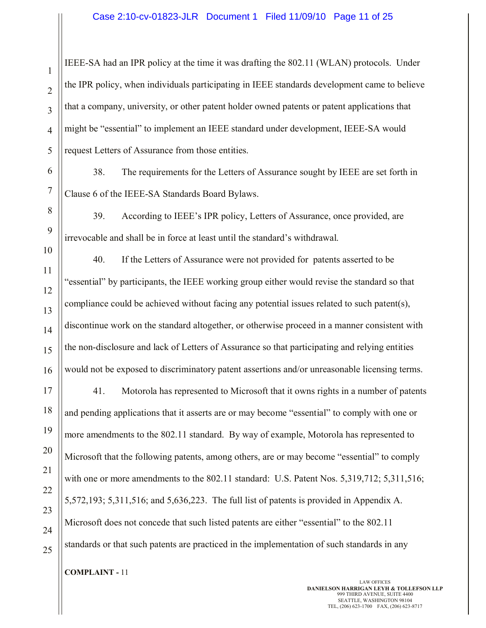IEEE-SA had an IPR policy at the time it was drafting the 802.11 (WLAN) protocols. Under the IPR policy, when individuals participating in IEEE standards development came to believe that a company, university, or other patent holder owned patents or patent applications that might be "essential" to implement an IEEE standard under development, IEEE-SA would request Letters of Assurance from those entities.

38. The requirements for the Letters of Assurance sought by IEEE are set forth in Clause 6 of the IEEE-SA Standards Board Bylaws.

39. According to IEEE's IPR policy, Letters of Assurance, once provided, are irrevocable and shall be in force at least until the standard's withdrawal.

40. If the Letters of Assurance were not provided for patents asserted to be "essential" by participants, the IEEE working group either would revise the standard so that compliance could be achieved without facing any potential issues related to such patent(s), discontinue work on the standard altogether, or otherwise proceed in a manner consistent with the non-disclosure and lack of Letters of Assurance so that participating and relying entities would not be exposed to discriminatory patent assertions and/or unreasonable licensing terms.

17 18 19 20 21 22 23 24 25 41. Motorola has represented to Microsoft that it owns rights in a number of patents and pending applications that it asserts are or may become "essential" to comply with one or more amendments to the 802.11 standard. By way of example, Motorola has represented to Microsoft that the following patents, among others, are or may become "essential" to comply with one or more amendments to the 802.11 standard: U.S. Patent Nos. 5,319,712; 5,311,516; 5,572,193; 5,311,516; and 5,636,223. The full list of patents is provided in Appendix A. Microsoft does not concede that such listed patents are either "essential" to the 802.11 standards or that such patents are practiced in the implementation of such standards in any

**COMPLAINT -** 11

1

2

3

4

5

6

7

8

9

10

11

12

13

14

15

16

LAW OFFICES **DANIELSON HARRIGAN LEYH & TOLLEFSON LLP** 999 THIRD AVENUE, SUITE 4400 SEATTLE, WASHINGTON 98104 TEL, (206) 623-1700 FAX, (206) 623-8717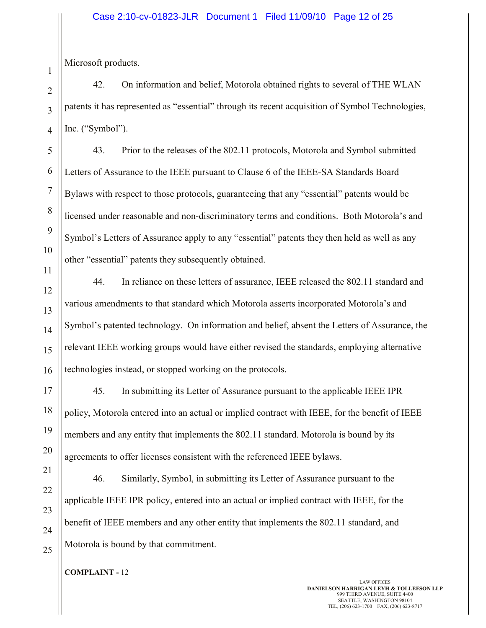Microsoft products.

42. On information and belief, Motorola obtained rights to several of THE WLAN patents it has represented as "essential" through its recent acquisition of Symbol Technologies, Inc. ("Symbol").

43. Prior to the releases of the 802.11 protocols, Motorola and Symbol submitted Letters of Assurance to the IEEE pursuant to Clause 6 of the IEEE-SA Standards Board Bylaws with respect to those protocols, guaranteeing that any "essential" patents would be licensed under reasonable and non-discriminatory terms and conditions. Both Motorola's and Symbol's Letters of Assurance apply to any "essential" patents they then held as well as any other "essential" patents they subsequently obtained.

44. In reliance on these letters of assurance, IEEE released the 802.11 standard and various amendments to that standard which Motorola asserts incorporated Motorola's and Symbol's patented technology. On information and belief, absent the Letters of Assurance, the relevant IEEE working groups would have either revised the standards, employing alternative technologies instead, or stopped working on the protocols.

45. In submitting its Letter of Assurance pursuant to the applicable IEEE IPR policy, Motorola entered into an actual or implied contract with IEEE, for the benefit of IEEE members and any entity that implements the 802.11 standard. Motorola is bound by its agreements to offer licenses consistent with the referenced IEEE bylaws.

46. Similarly, Symbol, in submitting its Letter of Assurance pursuant to the applicable IEEE IPR policy, entered into an actual or implied contract with IEEE, for the benefit of IEEE members and any other entity that implements the 802.11 standard, and Motorola is bound by that commitment.

**COMPLAINT -** 12

21

22

23

24

25

1

2

3

4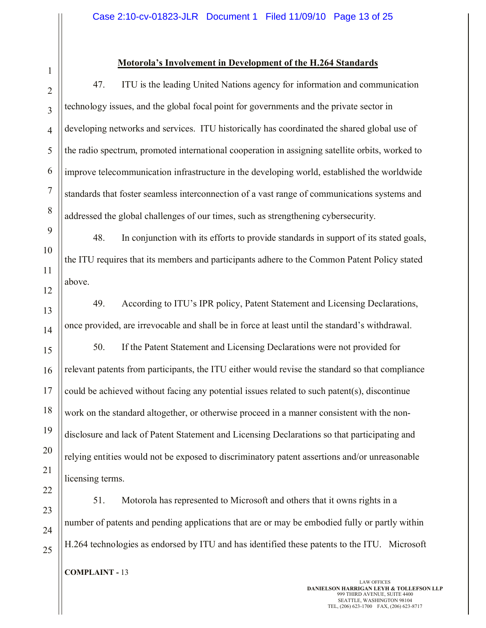# 1 2

# **Motorola's Involvement in Development of the H.264 Standards**

47. ITU is the leading United Nations agency for information and communication technology issues, and the global focal point for governments and the private sector in developing networks and services. ITU historically has coordinated the shared global use of the radio spectrum, promoted international cooperation in assigning satellite orbits, worked to improve telecommunication infrastructure in the developing world, established the worldwide standards that foster seamless interconnection of a vast range of communications systems and addressed the global challenges of our times, such as strengthening cybersecurity.

48. In conjunction with its efforts to provide standards in support of its stated goals, the ITU requires that its members and participants adhere to the Common Patent Policy stated above.

49. According to ITU's IPR policy, Patent Statement and Licensing Declarations, once provided, are irrevocable and shall be in force at least until the standard's withdrawal.

50. If the Patent Statement and Licensing Declarations were not provided for relevant patents from participants, the ITU either would revise the standard so that compliance could be achieved without facing any potential issues related to such patent(s), discontinue work on the standard altogether, or otherwise proceed in a manner consistent with the nondisclosure and lack of Patent Statement and Licensing Declarations so that participating and relying entities would not be exposed to discriminatory patent assertions and/or unreasonable licensing terms.

51. Motorola has represented to Microsoft and others that it owns rights in a number of patents and pending applications that are or may be embodied fully or partly within H.264 technologies as endorsed by ITU and has identified these patents to the ITU. Microsoft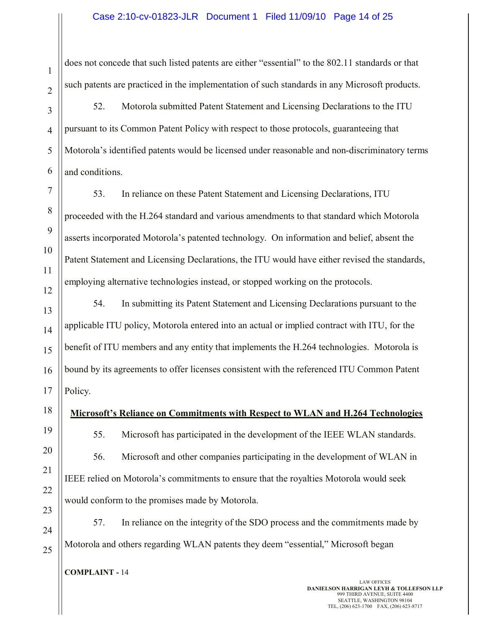does not concede that such listed patents are either "essential" to the 802.11 standards or that such patents are practiced in the implementation of such standards in any Microsoft products.

52. Motorola submitted Patent Statement and Licensing Declarations to the ITU pursuant to its Common Patent Policy with respect to those protocols, guaranteeing that Motorola's identified patents would be licensed under reasonable and non-discriminatory terms and conditions.

53. In reliance on these Patent Statement and Licensing Declarations, ITU proceeded with the H.264 standard and various amendments to that standard which Motorola asserts incorporated Motorola's patented technology. On information and belief, absent the Patent Statement and Licensing Declarations, the ITU would have either revised the standards, employing alternative technologies instead, or stopped working on the protocols.

54. In submitting its Patent Statement and Licensing Declarations pursuant to the applicable ITU policy, Motorola entered into an actual or implied contract with ITU, for the benefit of ITU members and any entity that implements the H.264 technologies. Motorola is bound by its agreements to offer licenses consistent with the referenced ITU Common Patent Policy.

**Microsoft's Reliance on Commitments with Respect to WLAN and H.264 Technologies**

55. Microsoft has participated in the development of the IEEE WLAN standards. 56. Microsoft and other companies participating in the development of WLAN in IEEE relied on Motorola's commitments to ensure that the royalties Motorola would seek would conform to the promises made by Motorola.

57. In reliance on the integrity of the SDO process and the commitments made by Motorola and others regarding WLAN patents they deem "essential," Microsoft began

**COMPLAINT -** 14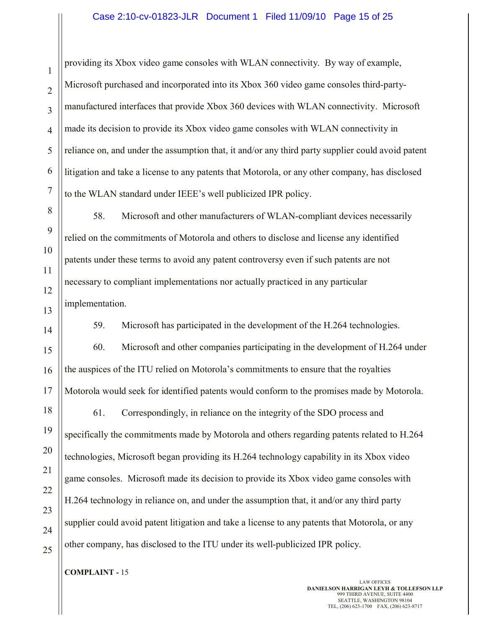providing its Xbox video game consoles with WLAN connectivity. By way of example, Microsoft purchased and incorporated into its Xbox 360 video game consoles third-partymanufactured interfaces that provide Xbox 360 devices with WLAN connectivity. Microsoft made its decision to provide its Xbox video game consoles with WLAN connectivity in reliance on, and under the assumption that, it and/or any third party supplier could avoid patent litigation and take a license to any patents that Motorola, or any other company, has disclosed to the WLAN standard under IEEE's well publicized IPR policy.

58. Microsoft and other manufacturers of WLAN-compliant devices necessarily relied on the commitments of Motorola and others to disclose and license any identified patents under these terms to avoid any patent controversy even if such patents are not necessary to compliant implementations nor actually practiced in any particular implementation.

59. Microsoft has participated in the development of the H.264 technologies.

60. Microsoft and other companies participating in the development of H.264 under the auspices of the ITU relied on Motorola's commitments to ensure that the royalties Motorola would seek for identified patents would conform to the promises made by Motorola.

18 19 20 22 23 24 25 61. Correspondingly, in reliance on the integrity of the SDO process and specifically the commitments made by Motorola and others regarding patents related to H.264 technologies, Microsoft began providing its H.264 technology capability in its Xbox video game consoles. Microsoft made its decision to provide its Xbox video game consoles with H.264 technology in reliance on, and under the assumption that, it and/or any third party supplier could avoid patent litigation and take a license to any patents that Motorola, or any other company, has disclosed to the ITU under its well-publicized IPR policy.

**COMPLAINT -** 15

1

2

3

4

5

6

7

8

9

10

11

12

13

14

15

16

17

21

LAW OFFICES **DANIELSON HARRIGAN LEYH & TOLLEFSON LLP** 999 THIRD AVENUE, SUITE 4400 SEATTLE, WASHINGTON 98104 TEL, (206) 623-1700 FAX, (206) 623-8717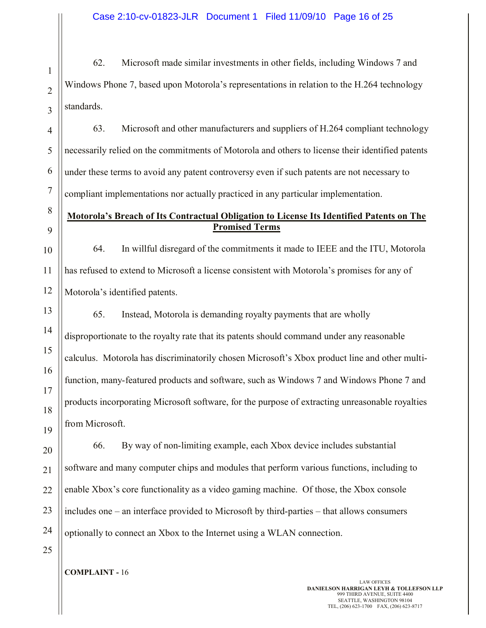62. Microsoft made similar investments in other fields, including Windows 7 and Windows Phone 7, based upon Motorola's representations in relation to the H.264 technology standards.

4 5 6 7 63. Microsoft and other manufacturers and suppliers of H.264 compliant technology necessarily relied on the commitments of Motorola and others to license their identified patents under these terms to avoid any patent controversy even if such patents are not necessary to compliant implementations nor actually practiced in any particular implementation.

# **Motorola's Breach of Its Contractual Obligation to License Its Identified Patents on The Promised Terms**

64. In willful disregard of the commitments it made to IEEE and the ITU, Motorola has refused to extend to Microsoft a license consistent with Motorola's promises for any of Motorola's identified patents.

65. Instead, Motorola is demanding royalty payments that are wholly disproportionate to the royalty rate that its patents should command under any reasonable calculus. Motorola has discriminatorily chosen Microsoft's Xbox product line and other multifunction, many-featured products and software, such as Windows 7 and Windows Phone 7 and products incorporating Microsoft software, for the purpose of extracting unreasonable royalties from Microsoft.

20 21 22 23 24 66. By way of non-limiting example, each Xbox device includes substantial software and many computer chips and modules that perform various functions, including to enable Xbox's core functionality as a video gaming machine. Of those, the Xbox console includes one – an interface provided to Microsoft by third-parties – that allows consumers optionally to connect an Xbox to the Internet using a WLAN connection.

1

2

3

8

9

10

11

12

13

14

15

16

17

18

19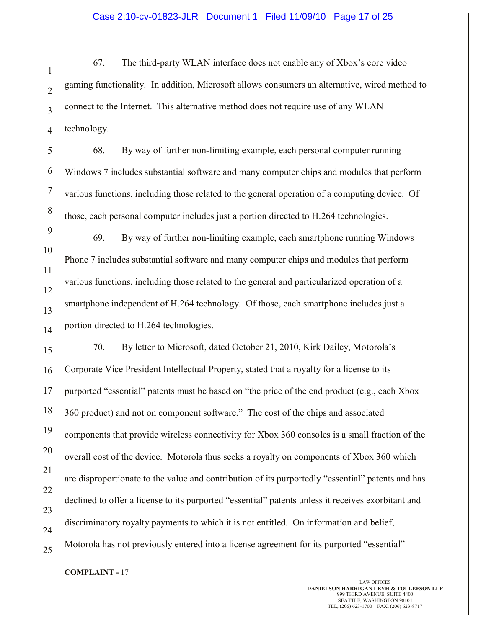67. The third-party WLAN interface does not enable any of Xbox's core video gaming functionality. In addition, Microsoft allows consumers an alternative, wired method to connect to the Internet. This alternative method does not require use of any WLAN technology.

68. By way of further non-limiting example, each personal computer running Windows 7 includes substantial software and many computer chips and modules that perform various functions, including those related to the general operation of a computing device. Of those, each personal computer includes just a portion directed to H.264 technologies.

69. By way of further non-limiting example, each smartphone running Windows Phone 7 includes substantial software and many computer chips and modules that perform various functions, including those related to the general and particularized operation of a smartphone independent of H.264 technology. Of those, each smartphone includes just a portion directed to H.264 technologies.

70. By letter to Microsoft, dated October 21, 2010, Kirk Dailey, Motorola's Corporate Vice President Intellectual Property, stated that a royalty for a license to its purported "essential" patents must be based on "the price of the end product (e.g., each Xbox 360 product) and not on component software." The cost of the chips and associated components that provide wireless connectivity for Xbox 360 consoles is a small fraction of the overall cost of the device. Motorola thus seeks a royalty on components of Xbox 360 which are disproportionate to the value and contribution of its purportedly "essential" patents and has declined to offer a license to its purported "essential" patents unless it receives exorbitant and discriminatory royalty payments to which it is not entitled. On information and belief, Motorola has not previously entered into a license agreement for its purported "essential"

**COMPLAINT -** 17

LAW OFFICES **DANIELSON HARRIGAN LEYH & TOLLEFSON LLP** 999 THIRD AVENUE, SUITE 4400 SEATTLE, WASHINGTON 98104 TEL, (206) 623-1700 FAX, (206) 623-8717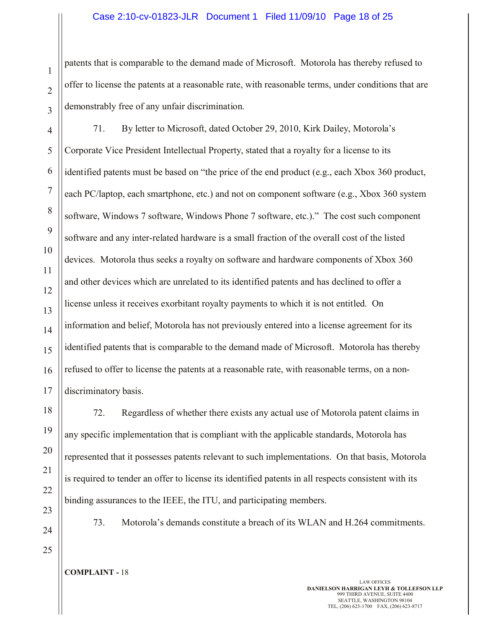#### Case 2:10-cv-01823-JLR Document 1 Filed 11/09/10 Page 18 of 25

patents that is comparable to the demand made of Microsoft. Motorola has thereby refused to offer to license the patents at a reasonable rate, with reasonable terms, under conditions that are demonstrably free of any unfair discrimination.

4 6 7 8 9 10 11 12 13 14 15 16 17 71. By letter to Microsoft, dated October 29, 2010, Kirk Dailey, Motorola's Corporate Vice President Intellectual Property, stated that a royalty for a license to its identified patents must be based on "the price of the end product (e.g., each Xbox 360 product, each PC/laptop, each smartphone, etc.) and not on component software (e.g., Xbox 360 system software, Windows 7 software, Windows Phone 7 software, etc.)." The cost such component software and any inter-related hardware is a small fraction of the overall cost of the listed devices. Motorola thus seeks a royalty on software and hardware components of Xbox 360 and other devices which are unrelated to its identified patents and has declined to offer a license unless it receives exorbitant royalty payments to which it is not entitled. On information and belief, Motorola has not previously entered into a license agreement for its identified patents that is comparable to the demand made of Microsoft. Motorola has thereby refused to offer to license the patents at a reasonable rate, with reasonable terms, on a nondiscriminatory basis.

72. Regardless of whether there exists any actual use of Motorola patent claims in any specific implementation that is compliant with the applicable standards, Motorola has represented that it possesses patents relevant to such implementations. On that basis, Motorola is required to tender an offer to license its identified patents in all respects consistent with its binding assurances to the IEEE, the ITU, and participating members.

24

25

23

18

19

20

21

22

1

2

3

5

73. Motorola's demands constitute a breach of its WLAN and H.264 commitments.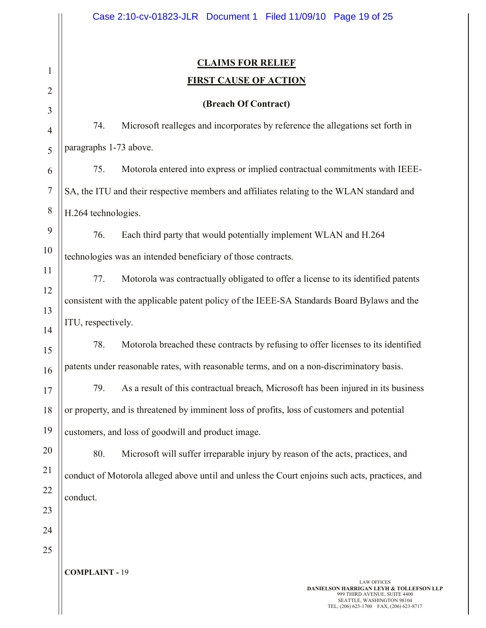|                     | Case 2:10-cv-01823-JLR Document 1 Filed 11/09/10 Page 19 of 25                                                                                                                   |  |
|---------------------|----------------------------------------------------------------------------------------------------------------------------------------------------------------------------------|--|
| $\mathbf{1}$        | <b>CLAIMS FOR RELIEF</b><br><b>FIRST CAUSE OF ACTION</b>                                                                                                                         |  |
| $\overline{2}$      | (Breach Of Contract)                                                                                                                                                             |  |
| 3<br>$\overline{4}$ | Microsoft realleges and incorporates by reference the allegations set forth in<br>74.                                                                                            |  |
| 5                   | paragraphs 1-73 above.                                                                                                                                                           |  |
| 6                   | 75.<br>Motorola entered into express or implied contractual commitments with IEEE-                                                                                               |  |
| $\tau$              | SA, the ITU and their respective members and affiliates relating to the WLAN standard and                                                                                        |  |
| $\,8\,$             | H.264 technologies.                                                                                                                                                              |  |
| 9                   | 76.<br>Each third party that would potentially implement WLAN and H.264                                                                                                          |  |
| 10                  | technologies was an intended beneficiary of those contracts.                                                                                                                     |  |
| 11                  | 77.<br>Motorola was contractually obligated to offer a license to its identified patents                                                                                         |  |
| 12                  | consistent with the applicable patent policy of the IEEE-SA Standards Board Bylaws and the                                                                                       |  |
| 13                  |                                                                                                                                                                                  |  |
| 14                  | ITU, respectively.                                                                                                                                                               |  |
| 15                  | 78.<br>Motorola breached these contracts by refusing to offer licenses to its identified                                                                                         |  |
| 16                  | patents under reasonable rates, with reasonable terms, and on a non-discriminatory basis.                                                                                        |  |
| 17                  | As a result of this contractual breach, Microsoft has been injured in its business<br>79.                                                                                        |  |
| 18                  | or property, and is threatened by imminent loss of profits, loss of customers and potential                                                                                      |  |
| 19                  | customers, and loss of goodwill and product image.                                                                                                                               |  |
| 20                  | 80.<br>Microsoft will suffer irreparable injury by reason of the acts, practices, and                                                                                            |  |
| 21                  | conduct of Motorola alleged above until and unless the Court enjoins such acts, practices, and                                                                                   |  |
| 22                  | conduct.                                                                                                                                                                         |  |
| 23                  |                                                                                                                                                                                  |  |
| 24                  |                                                                                                                                                                                  |  |
| 25                  |                                                                                                                                                                                  |  |
|                     | <b>COMPLAINT - 19</b>                                                                                                                                                            |  |
|                     | <b>LAW OFFICES</b><br><b>DANIELSON HARRIGAN LEYH &amp; TOLLEFSON LLP</b><br>999 THIRD AVENUE, SUITE 4400<br>SEATTLE, WASHINGTON 98104<br>TEL, (206) 623-1700 FAX, (206) 623-8717 |  |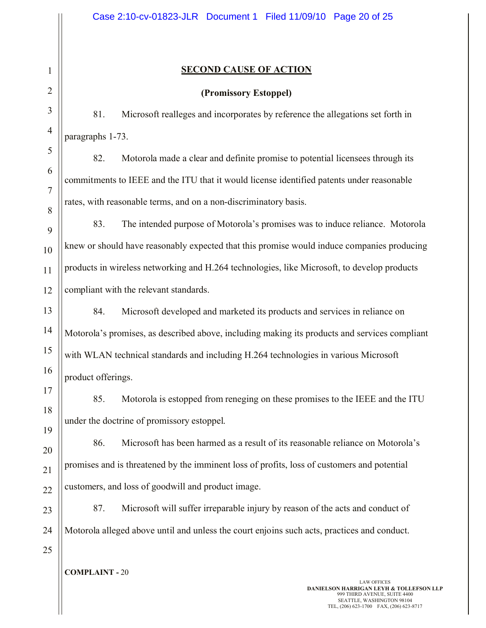# **SECOND CAUSE OF ACTION**

## **(Promissory Estoppel)**

81. Microsoft realleges and incorporates by reference the allegations set forth in paragraphs 1-73.

82. Motorola made a clear and definite promise to potential licensees through its commitments to IEEE and the ITU that it would license identified patents under reasonable rates, with reasonable terms, and on a non-discriminatory basis.

9 10 11 12 83. The intended purpose of Motorola's promises was to induce reliance. Motorola knew or should have reasonably expected that this promise would induce companies producing products in wireless networking and H.264 technologies, like Microsoft, to develop products compliant with the relevant standards.

13 14 15 16 84. Microsoft developed and marketed its products and services in reliance on Motorola's promises, as described above, including making its products and services compliant with WLAN technical standards and including H.264 technologies in various Microsoft product offerings.

85. Motorola is estopped from reneging on these promises to the IEEE and the ITU under the doctrine of promissory estoppel.

86. Microsoft has been harmed as a result of its reasonable reliance on Motorola's promises and is threatened by the imminent loss of profits, loss of customers and potential customers, and loss of goodwill and product image.

23 24 87. Microsoft will suffer irreparable injury by reason of the acts and conduct of Motorola alleged above until and unless the court enjoins such acts, practices and conduct.

25

17

18

19

20

21

22

1

2

3

4

5

6

7

8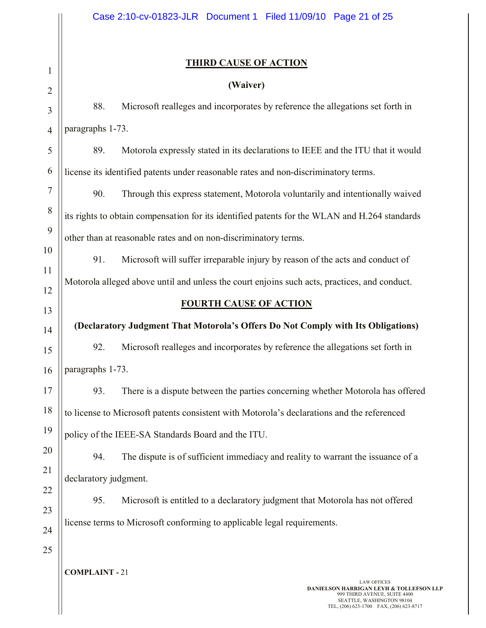# **THIRD CAUSE OF ACTION**

# **(Waiver)**

88. Microsoft realleges and incorporates by reference the allegations set forth in paragraphs 1-73.

89. Motorola expressly stated in its declarations to IEEE and the ITU that it would license its identified patents under reasonable rates and non-discriminatory terms.

90. Through this express statement, Motorola voluntarily and intentionally waived its rights to obtain compensation for its identified patents for the WLAN and H.264 standards other than at reasonable rates and on non-discriminatory terms.

91. Microsoft will suffer irreparable injury by reason of the acts and conduct of Motorola alleged above until and unless the court enjoins such acts, practices, and conduct.

## **FOURTH CAUSE OF ACTION**

**(Declaratory Judgment That Motorola's Offers Do Not Comply with Its Obligations)**

92. Microsoft realleges and incorporates by reference the allegations set forth in paragraphs 1-73.

93. There is a dispute between the parties concerning whether Motorola has offered to license to Microsoft patents consistent with Motorola's declarations and the referenced policy of the IEEE-SA Standards Board and the ITU.

20 21 94. The dispute is of sufficient immediacy and reality to warrant the issuance of a declaratory judgment.

95. Microsoft is entitled to a declaratory judgment that Motorola has not offered license terms to Microsoft conforming to applicable legal requirements.

23 24 25

22

1

2

3

4

5

6

7

8

9

10

11

12

13

14

15

16

17

18

19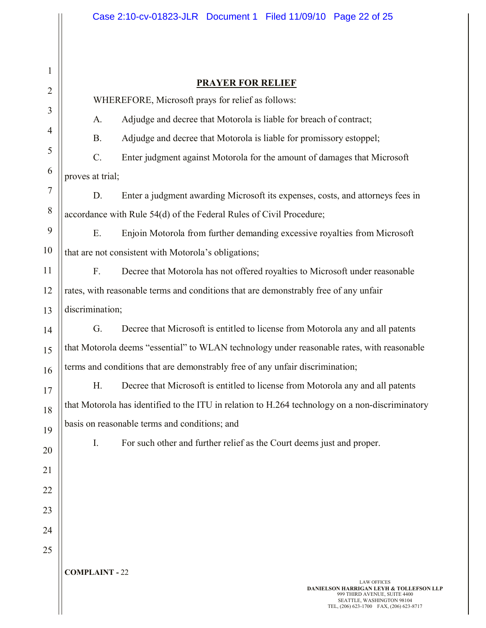|                | Case 2:10-cv-01823-JLR Document 1 Filed 11/09/10 Page 22 of 25                                                  |  |
|----------------|-----------------------------------------------------------------------------------------------------------------|--|
|                |                                                                                                                 |  |
| 1              |                                                                                                                 |  |
| $\overline{2}$ | <b>PRAYER FOR RELIEF</b>                                                                                        |  |
| 3              | WHEREFORE, Microsoft prays for relief as follows:                                                               |  |
| 4              | Adjudge and decree that Motorola is liable for breach of contract;<br>A.                                        |  |
| 5              | Adjudge and decree that Motorola is liable for promissory estoppel;<br><b>B.</b>                                |  |
| 6              | $C$ .<br>Enter judgment against Motorola for the amount of damages that Microsoft                               |  |
| 7              | proves at trial;                                                                                                |  |
| 8              | D.<br>Enter a judgment awarding Microsoft its expenses, costs, and attorneys fees in                            |  |
|                | accordance with Rule 54(d) of the Federal Rules of Civil Procedure;                                             |  |
| 9              | E.<br>Enjoin Motorola from further demanding excessive royalties from Microsoft                                 |  |
| 10             | that are not consistent with Motorola's obligations;                                                            |  |
| 11             | F.<br>Decree that Motorola has not offered royalties to Microsoft under reasonable                              |  |
| 12             | rates, with reasonable terms and conditions that are demonstrably free of any unfair                            |  |
| 13             | discrimination;                                                                                                 |  |
| 14             | G.<br>Decree that Microsoft is entitled to license from Motorola any and all patents                            |  |
| 15             | that Motorola deems "essential" to WLAN technology under reasonable rates, with reasonable                      |  |
| 16             | terms and conditions that are demonstrably free of any unfair discrimination;                                   |  |
| 17             | Decree that Microsoft is entitled to license from Motorola any and all patents<br>Н.                            |  |
| 18             | that Motorola has identified to the ITU in relation to H.264 technology on a non-discriminatory                 |  |
| 19             | basis on reasonable terms and conditions; and                                                                   |  |
| 20             | For such other and further relief as the Court deems just and proper.<br>Ι.                                     |  |
| 21             |                                                                                                                 |  |
| 22             |                                                                                                                 |  |
| 23             |                                                                                                                 |  |
|                |                                                                                                                 |  |
| 24             |                                                                                                                 |  |
| 25             |                                                                                                                 |  |
|                | <b>COMPLAINT - 22</b><br><b>LAW OFFICES</b>                                                                     |  |
|                | <b>DANIELSON HARRIGAN LEYH &amp; TOLLEFSON LLP</b><br>999 THIRD AVENUE, SUITE 4400<br>SEATTLE, WASHINGTON 98104 |  |
|                | TEL, (206) 623-1700 FAX, (206) 623-8717                                                                         |  |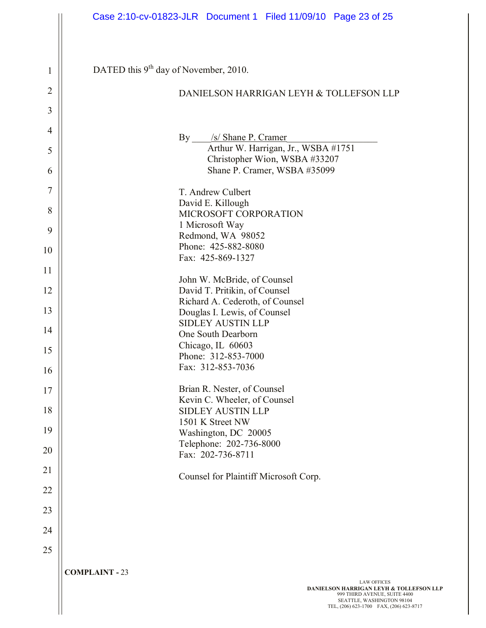|                | Case 2:10-cv-01823-JLR Document 1 Filed 11/09/10 Page 23 of 25                                                                                             |
|----------------|------------------------------------------------------------------------------------------------------------------------------------------------------------|
|                |                                                                                                                                                            |
| 1              | DATED this 9 <sup>th</sup> day of November, 2010.                                                                                                          |
| $\overline{2}$ | DANIELSON HARRIGAN LEYH & TOLLEFSON LLP                                                                                                                    |
| 3              |                                                                                                                                                            |
| $\overline{4}$ | By ___ /s/ Shane P. Cramer                                                                                                                                 |
| 5              | Arthur W. Harrigan, Jr., WSBA #1751<br>Christopher Wion, WSBA #33207                                                                                       |
| 6              | Shane P. Cramer, WSBA #35099                                                                                                                               |
| $\overline{7}$ | T. Andrew Culbert                                                                                                                                          |
| 8              | David E. Killough<br>MICROSOFT CORPORATION                                                                                                                 |
| 9              | 1 Microsoft Way<br>Redmond, WA 98052                                                                                                                       |
| 10             | Phone: 425-882-8080                                                                                                                                        |
| 11             | Fax: 425-869-1327                                                                                                                                          |
| 12             | John W. McBride, of Counsel<br>David T. Pritikin, of Counsel                                                                                               |
| 13             | Richard A. Cederoth, of Counsel<br>Douglas I. Lewis, of Counsel                                                                                            |
| 14             | <b>SIDLEY AUSTIN LLP</b>                                                                                                                                   |
| 15             | One South Dearborn<br>Chicago, IL 60603                                                                                                                    |
| 16             | Phone: 312-853-7000<br>Fax: 312-853-7036                                                                                                                   |
| 17             | Brian R. Nester, of Counsel                                                                                                                                |
| 18             | Kevin C. Wheeler, of Counsel<br><b>SIDLEY AUSTIN LLP</b>                                                                                                   |
| 19             | 1501 K Street NW                                                                                                                                           |
| 20             | Washington, DC 20005<br>Telephone: 202-736-8000                                                                                                            |
|                | Fax: 202-736-8711                                                                                                                                          |
| 21             | Counsel for Plaintiff Microsoft Corp.                                                                                                                      |
| 22             |                                                                                                                                                            |
| 23             |                                                                                                                                                            |
| 24             |                                                                                                                                                            |
| 25             |                                                                                                                                                            |
|                | <b>COMPLAINT - 23</b><br><b>LAW OFFICES</b>                                                                                                                |
|                | <b>DANIELSON HARRIGAN LEYH &amp; TOLLEFSON LLP</b><br>999 THIRD AVENUE, SUITE 4400<br>SEATTLE, WASHINGTON 98104<br>TEL, (206) 623-1700 FAX, (206) 623-8717 |
|                |                                                                                                                                                            |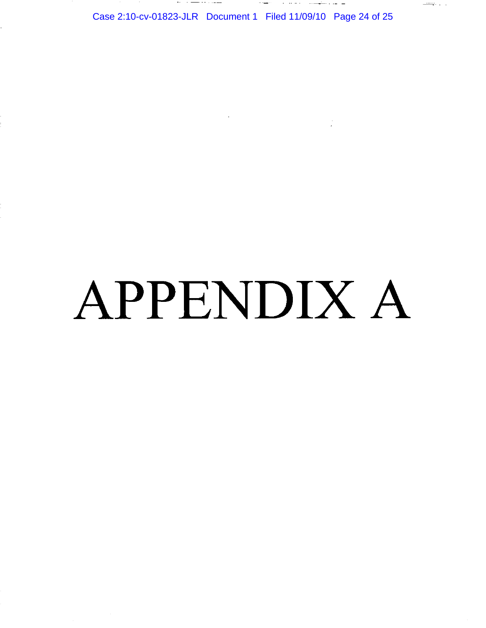Case 2:10-cv-01823-JLR Document 1 Filed 11/09/10 Page 24 of 25

المواطن والمتهمين المعاون والمنافسين المتحدة المنادي المتحدة والمتحدة المتحدة المتحدة المتحدة المتحدة

 $\frac{1}{\sqrt{2\pi} \sqrt{2}} \frac{1}{\sqrt{2\pi}} \frac{1}{\sqrt{2\pi}} \frac{1}{\sqrt{2\pi}} \frac{1}{\sqrt{2\pi}}$ 

# APPENDIX A